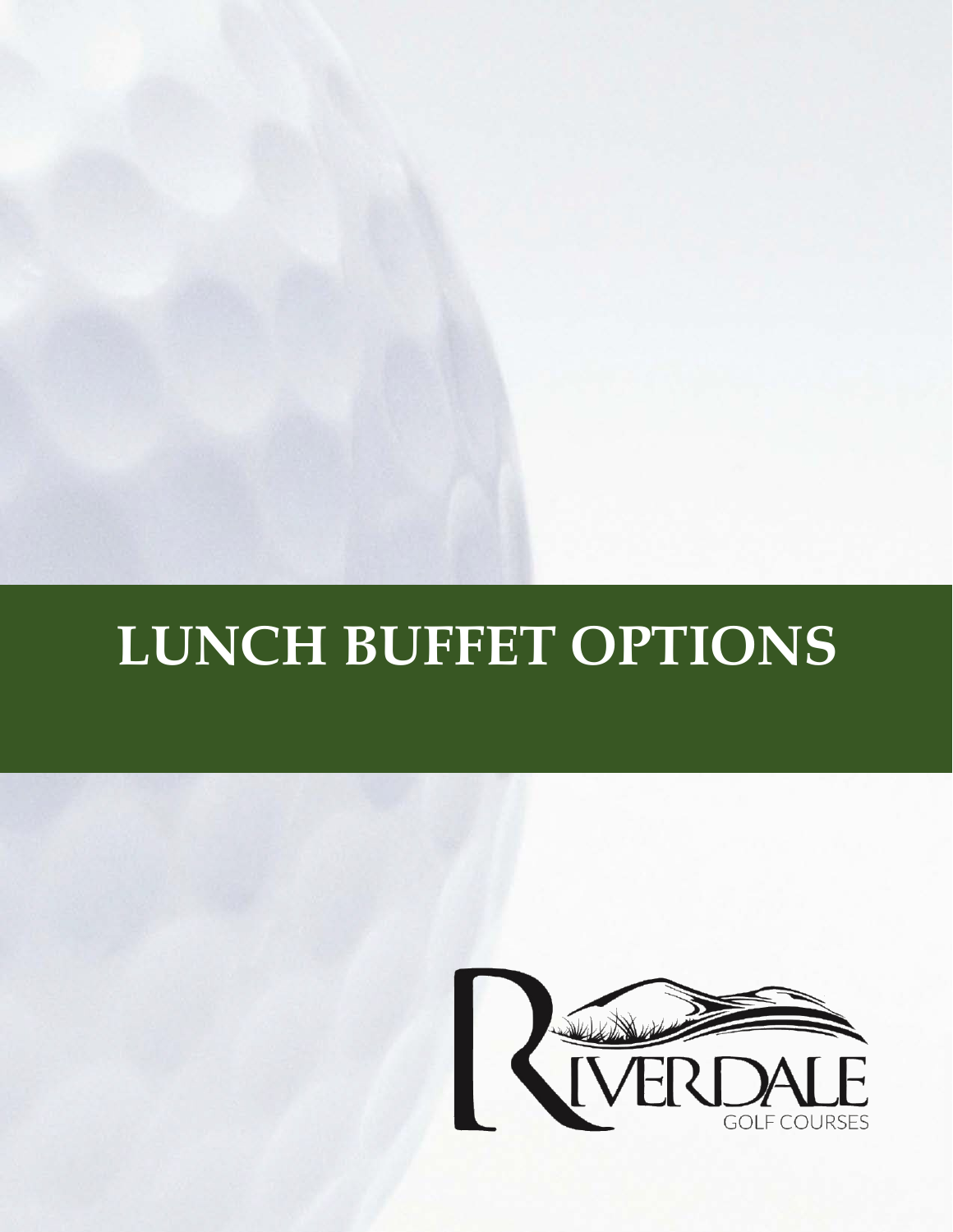# **LUNCH BUFFET OPTIONS**

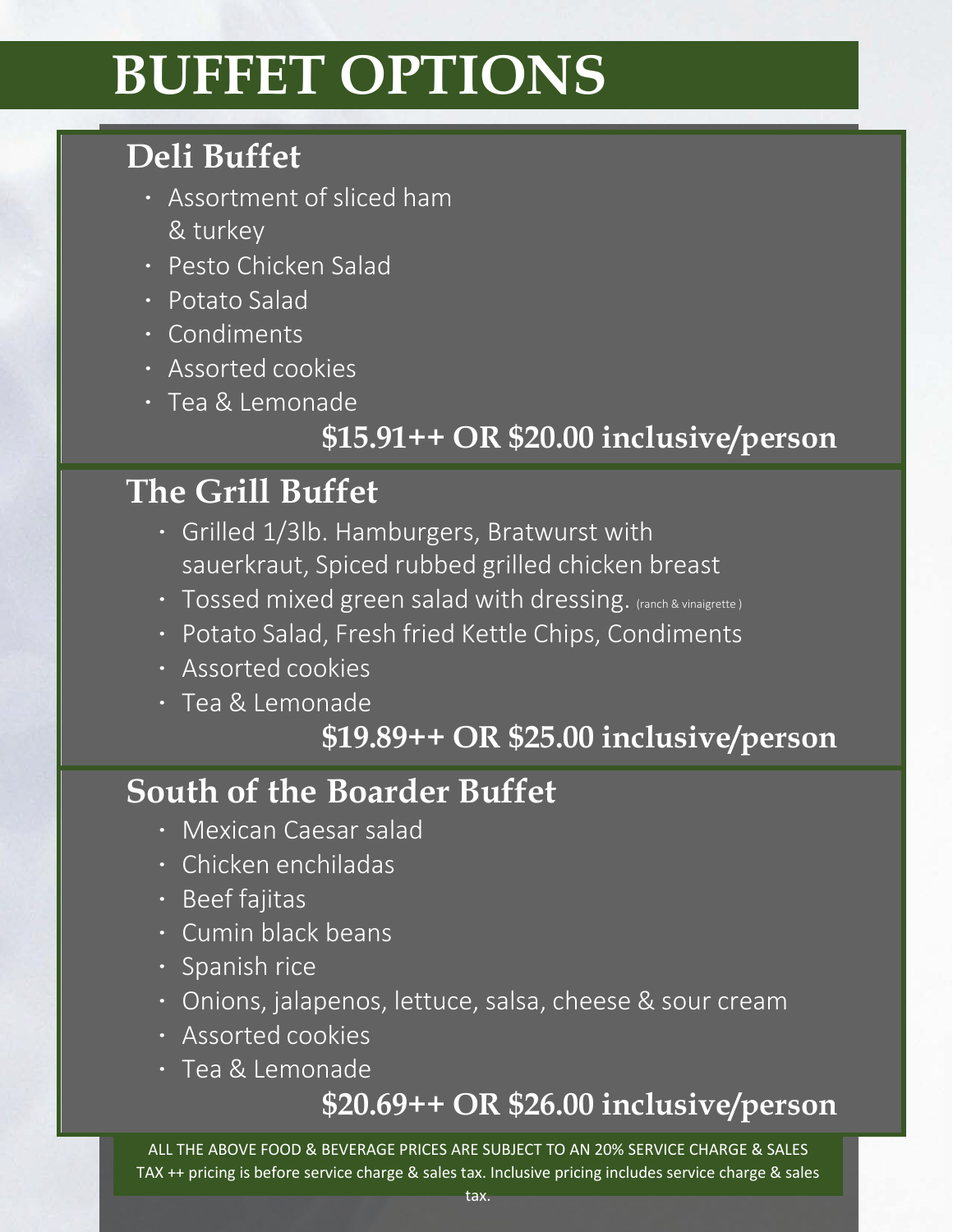# **BUFFET OPTIONS**

# **Deli Buffet**

- ∙ Assortment of sliced ham & turkey
- ∙ Pesto Chicken Salad
- ∙ Potato Salad
- ∙ Condiments
- ∙ Assorted cookies
- ∙ Tea & Lemonade

### **\$15.91++ OR \$20.00 inclusive/person**

#### **The Grill Buffet**

- ∙ Grilled 1/3lb. Hamburgers, Bratwurst with sauerkraut, Spiced rubbed grilled chicken breast
- ∙ Tossed mixed green salad with dressing. (ranch & vinaigrette )
- ∙ Potato Salad, Fresh fried Kettle Chips, Condiments
- ∙ Assorted cookies
- ∙ Tea & Lemonade

#### **\$19.89++ OR \$25.00 inclusive/person**

### **South of the Boarder Buffet**

- ∙ Mexican Caesar salad
- ∙ Chicken enchiladas
- ∙ Beef fajitas
- ∙ Cumin black beans
- ∙ Spanish rice
- ∙ Onions, jalapenos, lettuce, salsa, cheese & sour cream
- ∙ Assorted cookies
- ∙ Tea & Lemonade

#### **\$20.69++ OR \$26.00 inclusive/person**

ALL THE ABOVE FOOD & BEVERAGE PRICES ARE SUBJECT TO AN 20% SERVICE CHARGE & SALES TAX ++ pricing is before service charge & sales tax. Inclusive pricing includes service charge & sales